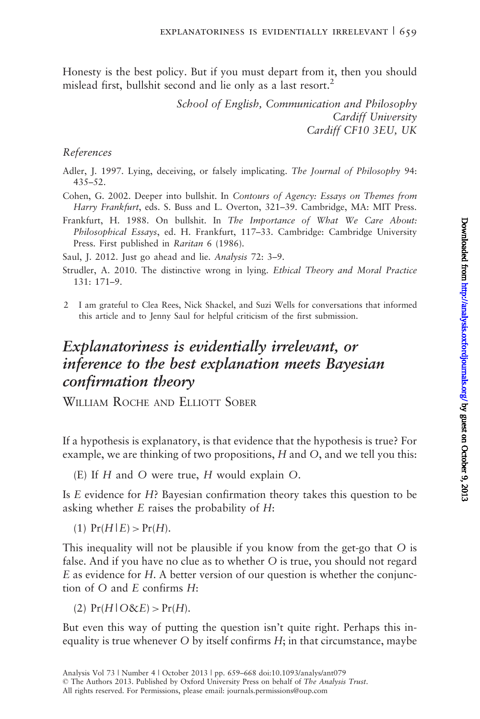Honesty is the best policy. But if you must depart from it, then you should mislead first, bullshit second and lie only as a last resort.<sup>2</sup>

> School of English, Communication and Philosophy Cardiff University Cardiff CF10 3EU, UK

## References

- Adler, J. 1997. Lying, deceiving, or falsely implicating. The Journal of Philosophy 94: 435–52.
- Cohen, G. 2002. Deeper into bullshit. In Contours of Agency: Essays on Themes from Harry Frankfurt, eds. S. Buss and L. Overton, 321-39. Cambridge, MA: MIT Press.
- Frankfurt, H. 1988. On bullshit. In The Importance of What We Care About: Philosophical Essays, ed. H. Frankfurt, 117–33. Cambridge: Cambridge University Press. First published in Raritan 6 (1986).

Saul, J. 2012. Just go ahead and lie. Analysis 72: 3–9.

- Strudler, A. 2010. The distinctive wrong in lying. Ethical Theory and Moral Practice 131: 171–9.
- 2 I am grateful to Clea Rees, Nick Shackel, and Suzi Wells for conversations that informed this article and to Jenny Saul for helpful criticism of the first submission.

## Explanatoriness is evidentially irrelevant, or inference to the best explanation meets Bayesian confirmation theory

WILLIAM ROCHE AND ELLIOTT SOBER

If a hypothesis is explanatory, is that evidence that the hypothesis is true? For example, we are thinking of two propositions, H and O, and we tell you this:

(E) If H and O were true, H would explain O.

Is E evidence for H? Bayesian confirmation theory takes this question to be asking whether  $E$  raises the probability of  $H$ :

(1)  $Pr(H|E) > Pr(H)$ .

This inequality will not be plausible if you know from the get-go that O is false. And if you have no clue as to whether O is true, you should not regard E as evidence for H. A better version of our question is whether the conjunction of  $O$  and  $E$  confirms  $H$ :

(2)  $Pr(H | O \& E) > Pr(H)$ .

But even this way of putting the question isn't quite right. Perhaps this inequality is true whenever  $O$  by itself confirms  $H$ ; in that circumstance, maybe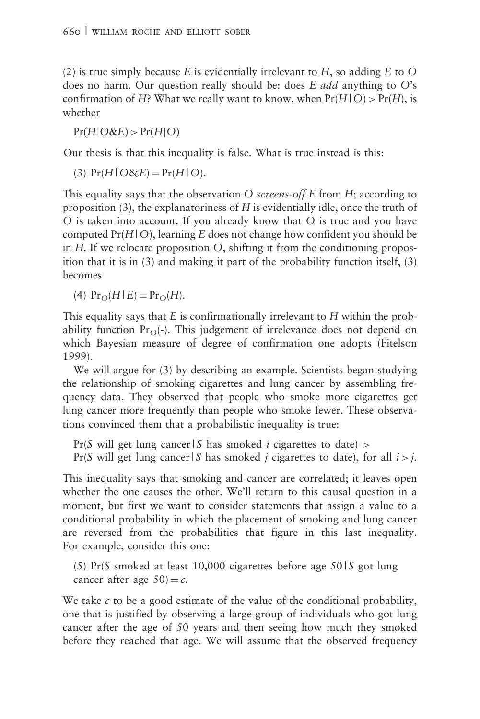(2) is true simply because E is evidentially irrelevant to H, so adding E to O does no harm. Our question really should be: does  $E$  *add* anything to O's confirmation of H? What we really want to know, when  $Pr(H|O) > Pr(H)$ , is whether

 $Pr(H|O\&E)$  >  $Pr(H|O)$ 

Our thesis is that this inequality is false. What is true instead is this:

(3)  $Pr(H | O \& E) = Pr(H | O)$ .

This equality says that the observation O *screens-off* E from  $H$ ; according to proposition (3), the explanatoriness of  $H$  is evidentially idle, once the truth of O is taken into account. If you already know that O is true and you have computed  $Pr(H|O)$ , learning E does not change how confident you should be in  $H$ . If we relocate proposition  $O$ , shifting it from the conditioning proposition that it is in (3) and making it part of the probability function itself, (3) becomes

(4)  $Pr_{\mathcal{O}}(H|E) = Pr_{\mathcal{O}}(H)$ .

This equality says that  $E$  is confirmationally irrelevant to  $H$  within the probability function  $Pr<sub>O</sub>(-)$ . This judgement of irrelevance does not depend on which Bayesian measure of degree of confirmation one adopts (Fitelson 1999).

We will argue for (3) by describing an example. Scientists began studying the relationship of smoking cigarettes and lung cancer by assembling frequency data. They observed that people who smoke more cigarettes get lung cancer more frequently than people who smoke fewer. These observations convinced them that a probabilistic inequality is true:

 $Pr(S$  will get lung cancer S has smoked *i* cigarettes to date) >  $Pr(S$  will get lung cancer S has smoked *j* cigarettes to date), for all  $i > j$ .

This inequality says that smoking and cancer are correlated; it leaves open whether the one causes the other. We'll return to this causal question in a moment, but first we want to consider statements that assign a value to a conditional probability in which the placement of smoking and lung cancer are reversed from the probabilities that figure in this last inequality. For example, consider this one:

(5)  $Pr(S \text{ smoothed at least } 10,000 \text{ eigenettes before age } 50 \text{ | } S \text{ got lung})$ cancer after age  $50 = c$ .

We take  $c$  to be a good estimate of the value of the conditional probability, one that is justified by observing a large group of individuals who got lung cancer after the age of 50 years and then seeing how much they smoked before they reached that age. We will assume that the observed frequency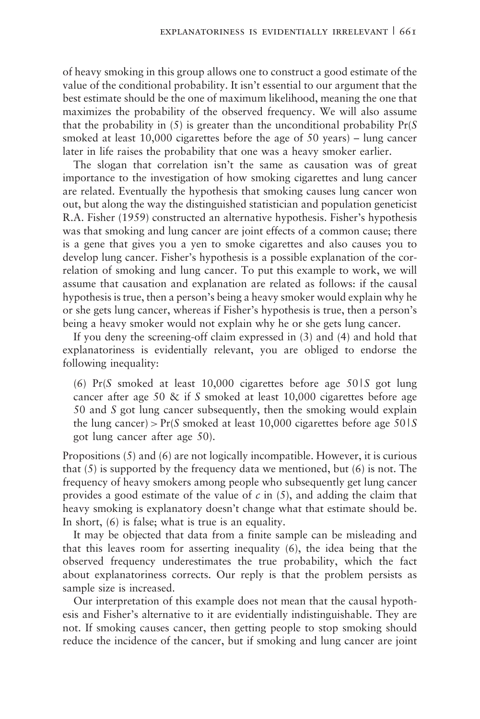of heavy smoking in this group allows one to construct a good estimate of the value of the conditional probability. It isn't essential to our argument that the best estimate should be the one of maximum likelihood, meaning the one that maximizes the probability of the observed frequency. We will also assume that the probability in  $(5)$  is greater than the unconditional probability  $Pr(S)$ smoked at least 10,000 cigarettes before the age of 50 years) – lung cancer later in life raises the probability that one was a heavy smoker earlier.

The slogan that correlation isn't the same as causation was of great importance to the investigation of how smoking cigarettes and lung cancer are related. Eventually the hypothesis that smoking causes lung cancer won out, but along the way the distinguished statistician and population geneticist R.A. Fisher (1959) constructed an alternative hypothesis. Fisher's hypothesis was that smoking and lung cancer are joint effects of a common cause; there is a gene that gives you a yen to smoke cigarettes and also causes you to develop lung cancer. Fisher's hypothesis is a possible explanation of the correlation of smoking and lung cancer. To put this example to work, we will assume that causation and explanation are related as follows: if the causal hypothesis is true, then a person's being a heavy smoker would explain why he or she gets lung cancer, whereas if Fisher's hypothesis is true, then a person's being a heavy smoker would not explain why he or she gets lung cancer.

If you deny the screening-off claim expressed in (3) and (4) and hold that explanatoriness is evidentially relevant, you are obliged to endorse the following inequality:

(6) Pr(S smoked at least  $10,000$  cigarettes before age  $501S$  got lung cancer after age 50 & if S smoked at least 10,000 cigarettes before age 50 and S got lung cancer subsequently, then the smoking would explain the lung cancer) >  $Pr(S \text{ smoothed at least } 10,000 \text{ eigenettes before age } 50 | S$ got lung cancer after age 50).

Propositions (5) and (6) are not logically incompatible. However, it is curious that  $(5)$  is supported by the frequency data we mentioned, but  $(6)$  is not. The frequency of heavy smokers among people who subsequently get lung cancer provides a good estimate of the value of c in  $(5)$ , and adding the claim that heavy smoking is explanatory doesn't change what that estimate should be. In short, (6) is false; what is true is an equality.

It may be objected that data from a finite sample can be misleading and that this leaves room for asserting inequality (6), the idea being that the observed frequency underestimates the true probability, which the fact about explanatoriness corrects. Our reply is that the problem persists as sample size is increased.

Our interpretation of this example does not mean that the causal hypothesis and Fisher's alternative to it are evidentially indistinguishable. They are not. If smoking causes cancer, then getting people to stop smoking should reduce the incidence of the cancer, but if smoking and lung cancer are joint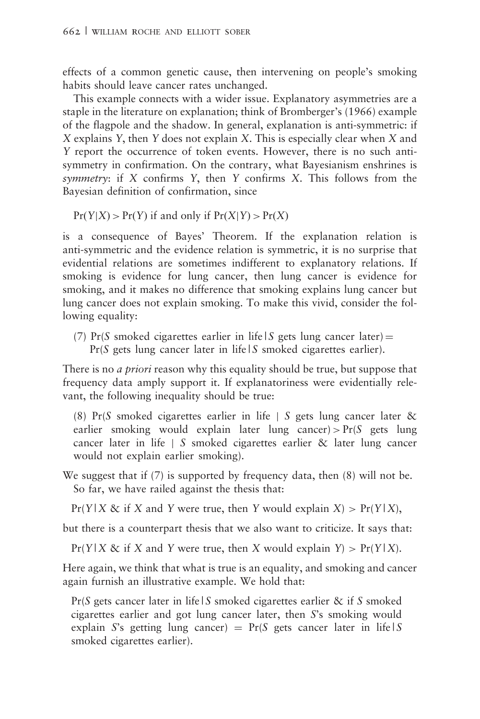effects of a common genetic cause, then intervening on people's smoking habits should leave cancer rates unchanged.

This example connects with a wider issue. Explanatory asymmetries are a staple in the literature on explanation; think of Bromberger's (1966) example of the flagpole and the shadow. In general, explanation is anti-symmetric: if X explains Y, then Y does not explain X. This is especially clear when X and Y report the occurrence of token events. However, there is no such antisymmetry in confirmation. On the contrary, what Bayesianism enshrines is symmetry: if  $X$  confirms  $Y$ , then  $Y$  confirms  $X$ . This follows from the Bayesian definition of confirmation, since

 $Pr(Y|X) > Pr(Y)$  if and only if  $Pr(X|Y) > Pr(X)$ 

is a consequence of Bayes' Theorem. If the explanation relation is anti-symmetric and the evidence relation is symmetric, it is no surprise that evidential relations are sometimes indifferent to explanatory relations. If smoking is evidence for lung cancer, then lung cancer is evidence for smoking, and it makes no difference that smoking explains lung cancer but lung cancer does not explain smoking. To make this vivid, consider the following equality:

(7) Pr(S smoked cigarettes earlier in life  $|S|$  gets lung cancer later) =  $Pr(S \text{ gets lung cancer later in life} | S \text{ smoke}d \text{ cigarette}$  earlier).

There is no *a priori* reason why this equality should be true, but suppose that frequency data amply support it. If explanatoriness were evidentially relevant, the following inequality should be true:

(8) Pr(S smoked cigarettes earlier in life  $\mid S \rangle$  gets lung cancer later & earlier smoking would explain later lung cancer) >  $Pr(S \text{ gets lung})$ cancer later in life  $\vert S \rangle$  smoked cigarettes earlier & later lung cancer would not explain earlier smoking).

We suggest that if (7) is supported by frequency data, then (8) will not be. So far, we have railed against the thesis that:

 $Pr(Y|X \& \text{if } X \text{ and } Y \text{ were true, then } Y \text{ would explain } X) > Pr(Y|X),$ 

but there is a counterpart thesis that we also want to criticize. It says that:

 $Pr(Y|X \& \text{if } X \text{ and } Y \text{ were true, then } X \text{ would explain } Y) > Pr(Y|X).$ 

Here again, we think that what is true is an equality, and smoking and cancer again furnish an illustrative example. We hold that:

 $Pr(S \text{ gets cancer later in life} | S \text{ smoke}d \text{ cigarette}s \text{ earlier } \& \text{ if } S \text{ smoke}d$ cigarettes earlier and got lung cancer later, then S's smoking would explain S's getting lung cancer) =  $Pr(S \text{ gets cancer later in life} | S)$ smoked cigarettes earlier).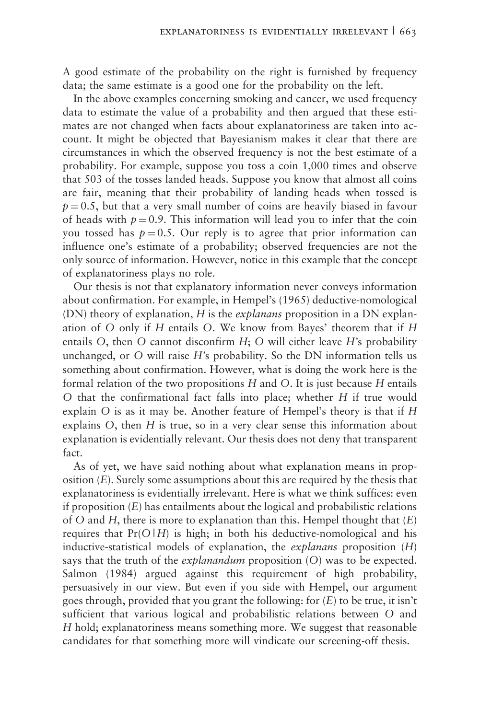A good estimate of the probability on the right is furnished by frequency data; the same estimate is a good one for the probability on the left.

In the above examples concerning smoking and cancer, we used frequency data to estimate the value of a probability and then argued that these estimates are not changed when facts about explanatoriness are taken into account. It might be objected that Bayesianism makes it clear that there are circumstances in which the observed frequency is not the best estimate of a probability. For example, suppose you toss a coin 1,000 times and observe that 503 of the tosses landed heads. Suppose you know that almost all coins are fair, meaning that their probability of landing heads when tossed is  $p = 0.5$ , but that a very small number of coins are heavily biased in favour of heads with  $p = 0.9$ . This information will lead you to infer that the coin you tossed has  $p = 0.5$ . Our reply is to agree that prior information can influence one's estimate of a probability; observed frequencies are not the only source of information. However, notice in this example that the concept of explanatoriness plays no role.

Our thesis is not that explanatory information never conveys information about confirmation. For example, in Hempel's (1965) deductive-nomological (DN) theory of explanation, H is the explanans proposition in a DN explanation of O only if H entails O. We know from Bayes' theorem that if H entails O, then O cannot disconfirm H; O will either leave H's probability unchanged, or  $O$  will raise  $H$ 's probability. So the DN information tells us something about confirmation. However, what is doing the work here is the formal relation of the two propositions  $H$  and  $O$ . It is just because  $H$  entails O that the confirmational fact falls into place; whether H if true would explain O is as it may be. Another feature of Hempel's theory is that if H explains O, then H is true, so in a very clear sense this information about explanation is evidentially relevant. Our thesis does not deny that transparent fact.

As of yet, we have said nothing about what explanation means in prop $o$ sition  $(E)$ . Surely some assumptions about this are required by the thesis that explanatoriness is evidentially irrelevant. Here is what we think suffices: even if proposition  $(E)$  has entailments about the logical and probabilistic relations of O and H, there is more to explanation than this. Hempel thought that  $(E)$ requires that  $Pr(O|H)$  is high; in both his deductive-nomological and his inductive-statistical models of explanation, the *explanans* proposition  $(H)$ says that the truth of the explanandum proposition (O) was to be expected. Salmon (1984) argued against this requirement of high probability, persuasively in our view. But even if you side with Hempel, our argument goes through, provided that you grant the following: for  $(E)$  to be true, it isn't sufficient that various logical and probabilistic relations between O and H hold; explanatoriness means something more. We suggest that reasonable candidates for that something more will vindicate our screening-off thesis.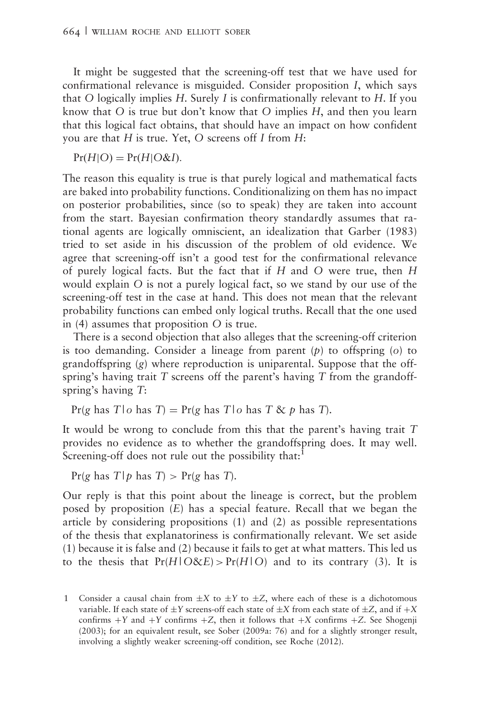It might be suggested that the screening-off test that we have used for confirmational relevance is misguided. Consider proposition I, which says that O logically implies H. Surely I is confirmationally relevant to H. If you know that  $\overline{O}$  is true but don't know that  $\overline{O}$  implies  $H$ , and then you learn that this logical fact obtains, that should have an impact on how confident you are that  $H$  is true. Yet, O screens off I from  $H$ :

 $Pr(H|O) = Pr(H|O\&I).$ 

The reason this equality is true is that purely logical and mathematical facts are baked into probability functions. Conditionalizing on them has no impact on posterior probabilities, since (so to speak) they are taken into account from the start. Bayesian confirmation theory standardly assumes that rational agents are logically omniscient, an idealization that Garber (1983) tried to set aside in his discussion of the problem of old evidence. We agree that screening-off isn't a good test for the confirmational relevance of purely logical facts. But the fact that if  $H$  and  $O$  were true, then  $H$ would explain O is not a purely logical fact, so we stand by our use of the screening-off test in the case at hand. This does not mean that the relevant probability functions can embed only logical truths. Recall that the one used in (4) assumes that proposition O is true.

There is a second objection that also alleges that the screening-off criterion is too demanding. Consider a lineage from parent  $(p)$  to offspring  $(o)$  to grandoffspring (g) where reproduction is uniparental. Suppose that the offspring's having trait T screens off the parent's having  $T$  from the grandoffspring's having T:

 $Pr(g \text{ has } T | o \text{ has } T) = Pr(g \text{ has } T | o \text{ has } T \& p \text{ has } T).$ 

It would be wrong to conclude from this that the parent's having trait  $T$ provides no evidence as to whether the grandoffspring does. It may well. Screening-off does not rule out the possibility that: $<sup>1</sup>$ </sup>

 $Pr(g \text{ has } T | p \text{ has } T) > Pr(g \text{ has } T).$ 

Our reply is that this point about the lineage is correct, but the problem posed by proposition (E) has a special feature. Recall that we began the article by considering propositions (1) and (2) as possible representations of the thesis that explanatoriness is confirmationally relevant. We set aside (1) because it is false and (2) because it fails to get at what matters. This led us to the thesis that  $Pr(H|O\&E) > Pr(H|O)$  and to its contrary (3). It is

<sup>1</sup> Consider a causal chain from  $\pm X$  to  $\pm Y$  to  $\pm Z$ , where each of these is a dichotomous variable. If each state of  $\pm Y$  screens-off each state of  $\pm X$  from each state of  $\pm Z$ , and if  $+X$ confirms  $+Y$  and  $+Y$  confirms  $+Z$ , then it follows that  $+X$  confirms  $+Z$ . See Shogenji (2003); for an equivalent result, see Sober (2009a: 76) and for a slightly stronger result, involving a slightly weaker screening-off condition, see Roche (2012).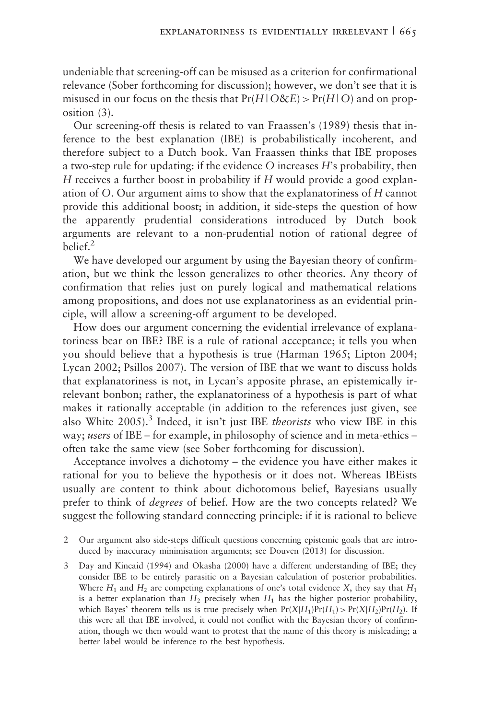undeniable that screening-off can be misused as a criterion for confirmational relevance (Sober forthcoming for discussion); however, we don't see that it is misused in our focus on the thesis that  $Pr(H|O\&E) > Pr(H|O)$  and on proposition (3).

Our screening-off thesis is related to van Fraassen's (1989) thesis that inference to the best explanation (IBE) is probabilistically incoherent, and therefore subject to a Dutch book. Van Fraassen thinks that IBE proposes a two-step rule for updating: if the evidence O increases H's probability, then H receives a further boost in probability if H would provide a good explanation of O. Our argument aims to show that the explanatoriness of H cannot provide this additional boost; in addition, it side-steps the question of how the apparently prudential considerations introduced by Dutch book arguments are relevant to a non-prudential notion of rational degree of  $beli\theta^2$ 

We have developed our argument by using the Bayesian theory of confirmation, but we think the lesson generalizes to other theories. Any theory of confirmation that relies just on purely logical and mathematical relations among propositions, and does not use explanatoriness as an evidential principle, will allow a screening-off argument to be developed.

How does our argument concerning the evidential irrelevance of explanatoriness bear on IBE? IBE is a rule of rational acceptance; it tells you when you should believe that a hypothesis is true (Harman 1965; Lipton 2004; Lycan 2002; Psillos 2007). The version of IBE that we want to discuss holds that explanatoriness is not, in Lycan's apposite phrase, an epistemically irrelevant bonbon; rather, the explanatoriness of a hypothesis is part of what makes it rationally acceptable (in addition to the references just given, see also White  $2005$ ).<sup>3</sup> Indeed, it isn't just IBE theorists who view IBE in this way; users of IBE – for example, in philosophy of science and in meta-ethics – often take the same view (see Sober forthcoming for discussion).

Acceptance involves a dichotomy – the evidence you have either makes it rational for you to believe the hypothesis or it does not. Whereas IBEists usually are content to think about dichotomous belief, Bayesians usually prefer to think of degrees of belief. How are the two concepts related? We suggest the following standard connecting principle: if it is rational to believe

- 2 Our argument also side-steps difficult questions concerning epistemic goals that are introduced by inaccuracy minimisation arguments; see Douven (2013) for discussion.
- Day and Kincaid (1994) and Okasha (2000) have a different understanding of IBE; they consider IBE to be entirely parasitic on a Bayesian calculation of posterior probabilities. Where  $H_1$  and  $H_2$  are competing explanations of one's total evidence X, they say that  $H_1$ is a better explanation than  $H_2$  precisely when  $H_1$  has the higher posterior probability, which Bayes' theorem tells us is true precisely when  $Pr(X|H_1)Pr(H_1) > Pr(X|H_2)Pr(H_2)$ . If this were all that IBE involved, it could not conflict with the Bayesian theory of confirmation, though we then would want to protest that the name of this theory is misleading; a better label would be inference to the best hypothesis.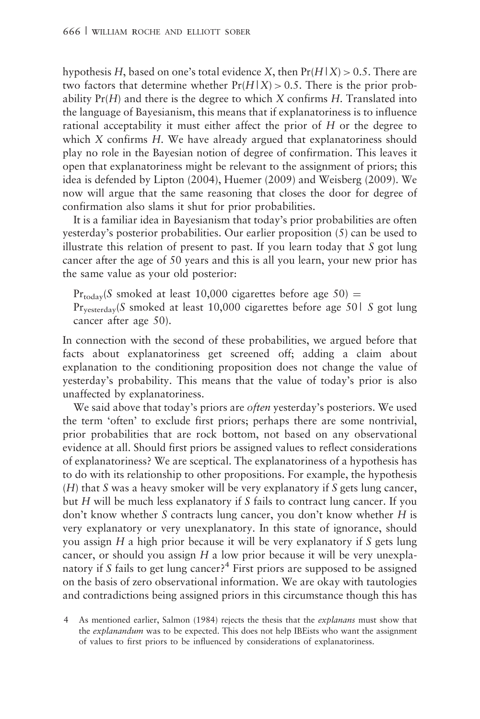hypothesis H, based on one's total evidence X, then  $Pr(H|X) > 0.5$ . There are two factors that determine whether  $Pr(H|X) > 0.5$ . There is the prior probability  $Pr(H)$  and there is the degree to which X confirms H. Translated into the language of Bayesianism, this means that if explanatoriness is to influence rational acceptability it must either affect the prior of H or the degree to which X confirms H. We have already argued that explanatoriness should play no role in the Bayesian notion of degree of confirmation. This leaves it open that explanatoriness might be relevant to the assignment of priors; this idea is defended by Lipton (2004), Huemer (2009) and Weisberg (2009). We now will argue that the same reasoning that closes the door for degree of confirmation also slams it shut for prior probabilities.

It is a familiar idea in Bayesianism that today's prior probabilities are often yesterday's posterior probabilities. Our earlier proposition (5) can be used to illustrate this relation of present to past. If you learn today that  $S$  got lung cancer after the age of 50 years and this is all you learn, your new prior has the same value as your old posterior:

 $Pr_{today}(S \text{ smoothed at least } 10,000 \text{ eigenettes before age } 50)$  =  $Pr_{\text{vesterday}}(S \text{ smod} \text{ at least } 10,000 \text{ eigenettes before age } 50 \mid S \text{ got lung})$ cancer after age 50).

In connection with the second of these probabilities, we argued before that facts about explanatoriness get screened off; adding a claim about explanation to the conditioning proposition does not change the value of yesterday's probability. This means that the value of today's prior is also unaffected by explanatoriness.

We said above that today's priors are *often* yesterday's posteriors. We used the term 'often' to exclude first priors; perhaps there are some nontrivial, prior probabilities that are rock bottom, not based on any observational evidence at all. Should first priors be assigned values to reflect considerations of explanatoriness? We are sceptical. The explanatoriness of a hypothesis has to do with its relationship to other propositions. For example, the hypothesis  $(H)$  that S was a heavy smoker will be very explanatory if S gets lung cancer, but H will be much less explanatory if S fails to contract lung cancer. If you don't know whether S contracts lung cancer, you don't know whether H is very explanatory or very unexplanatory. In this state of ignorance, should you assign H a high prior because it will be very explanatory if S gets lung cancer, or should you assign H a low prior because it will be very unexplanatory if S fails to get lung cancer?<sup>4</sup> First priors are supposed to be assigned on the basis of zero observational information. We are okay with tautologies and contradictions being assigned priors in this circumstance though this has

<sup>4</sup> As mentioned earlier, Salmon (1984) rejects the thesis that the *explanans* must show that the explanandum was to be expected. This does not help IBEists who want the assignment of values to first priors to be influenced by considerations of explanatoriness.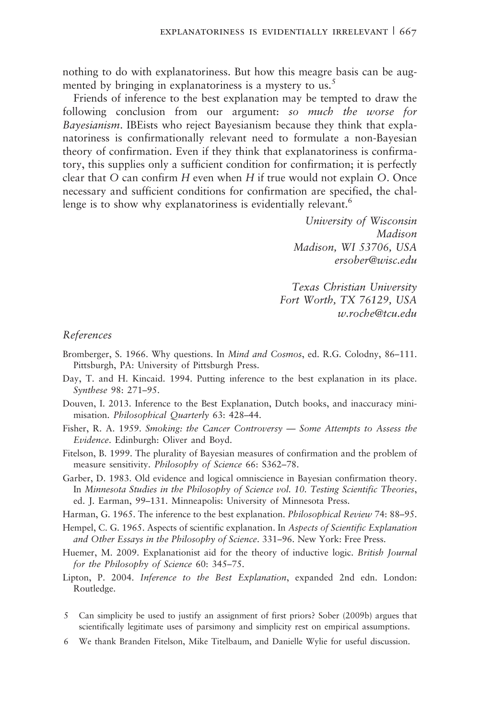nothing to do with explanatoriness. But how this meagre basis can be augmented by bringing in explanatoriness is a mystery to  $\overline{\mathfrak{u}}$ .<sup>5</sup>

Friends of inference to the best explanation may be tempted to draw the following conclusion from our argument: so much the worse for Bayesianism. IBEists who reject Bayesianism because they think that explanatoriness is confirmationally relevant need to formulate a non-Bayesian theory of confirmation. Even if they think that explanatoriness is confirmatory, this supplies only a sufficient condition for confirmation; it is perfectly clear that  $O$  can confirm  $H$  even when  $H$  if true would not explain  $O$ . Once necessary and sufficient conditions for confirmation are specified, the challenge is to show why explanatoriness is evidentially relevant.<sup>6</sup>

> University of Wisconsin Madison Madison, WI 53706, USA ersober@wisc.edu

Texas Christian University Fort Worth, TX 76129, USA w.roche@tcu.edu

## References

- Bromberger, S. 1966. Why questions. In Mind and Cosmos, ed. R.G. Colodny, 86–111. Pittsburgh, PA: University of Pittsburgh Press.
- Day, T. and H. Kincaid. 1994. Putting inference to the best explanation in its place. Synthese 98: 271–95.
- Douven, I. 2013. Inference to the Best Explanation, Dutch books, and inaccuracy minimisation. Philosophical Quarterly 63: 428–44.
- Fisher, R. A. 1959. Smoking: the Cancer Controversy Some Attempts to Assess the Evidence. Edinburgh: Oliver and Boyd.
- Fitelson, B. 1999. The plurality of Bayesian measures of confirmation and the problem of measure sensitivity. Philosophy of Science 66: S362–78.
- Garber, D. 1983. Old evidence and logical omniscience in Bayesian confirmation theory. In Minnesota Studies in the Philosophy of Science vol. 10. Testing Scientific Theories, ed. J. Earman, 99–131. Minneapolis: University of Minnesota Press.
- Harman, G. 1965. The inference to the best explanation. Philosophical Review 74: 88-95.
- Hempel, C. G. 1965. Aspects of scientific explanation. In Aspects of Scientific Explanation and Other Essays in the Philosophy of Science. 331–96. New York: Free Press.
- Huemer, M. 2009. Explanationist aid for the theory of inductive logic. British Journal for the Philosophy of Science 60: 345–75.
- Lipton, P. 2004. Inference to the Best Explanation, expanded 2nd edn. London: Routledge.
- 5 Can simplicity be used to justify an assignment of first priors? Sober (2009b) argues that scientifically legitimate uses of parsimony and simplicity rest on empirical assumptions.
- 6 We thank Branden Fitelson, Mike Titelbaum, and Danielle Wylie for useful discussion.